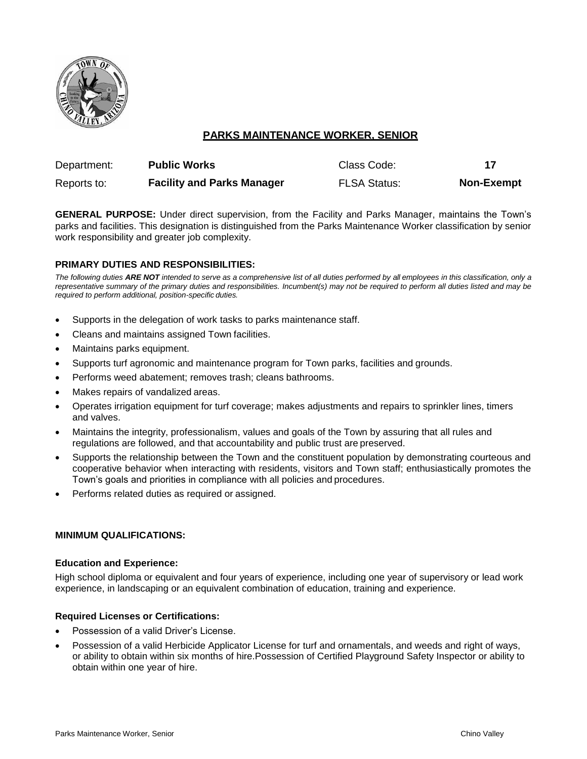

# **PARKS MAINTENANCE WORKER, SENIOR**

| Department: | <b>Public Works</b>               | Class Code:         |                   |
|-------------|-----------------------------------|---------------------|-------------------|
| Reports to: | <b>Facility and Parks Manager</b> | <b>FLSA Status:</b> | <b>Non-Exempt</b> |

**GENERAL PURPOSE:** Under direct supervision, from the Facility and Parks Manager, maintains the Town's parks and facilities. This designation is distinguished from the Parks Maintenance Worker classification by senior work responsibility and greater job complexity.

# **PRIMARY DUTIES AND RESPONSIBILITIES:**

*The following duties ARE NOT intended to serve as a comprehensive list of all duties performed by all employees in this classification, only a representative summary of the primary duties and responsibilities. Incumbent(s) may not be required to perform all duties listed and may be required to perform additional, position-specific duties.*

- Supports in the delegation of work tasks to parks maintenance staff.
- Cleans and maintains assigned Town facilities.
- Maintains parks equipment.
- Supports turf agronomic and maintenance program for Town parks, facilities and grounds.
- Performs weed abatement; removes trash; cleans bathrooms.
- Makes repairs of vandalized areas.
- Operates irrigation equipment for turf coverage; makes adjustments and repairs to sprinkler lines, timers and valves.
- Maintains the integrity, professionalism, values and goals of the Town by assuring that all rules and regulations are followed, and that accountability and public trust are preserved.
- Supports the relationship between the Town and the constituent population by demonstrating courteous and cooperative behavior when interacting with residents, visitors and Town staff; enthusiastically promotes the Town's goals and priorities in compliance with all policies and procedures.
- Performs related duties as required or assigned.

#### **MINIMUM QUALIFICATIONS:**

#### **Education and Experience:**

High school diploma or equivalent and four years of experience, including one year of supervisory or lead work experience, in landscaping or an equivalent combination of education, training and experience.

#### **Required Licenses or Certifications:**

- Possession of a valid Driver's License.
- Possession of a valid Herbicide Applicator License for turf and ornamentals, and weeds and right of ways, or ability to obtain within six months of hire.Possession of Certified Playground Safety Inspector or ability to obtain within one year of hire.